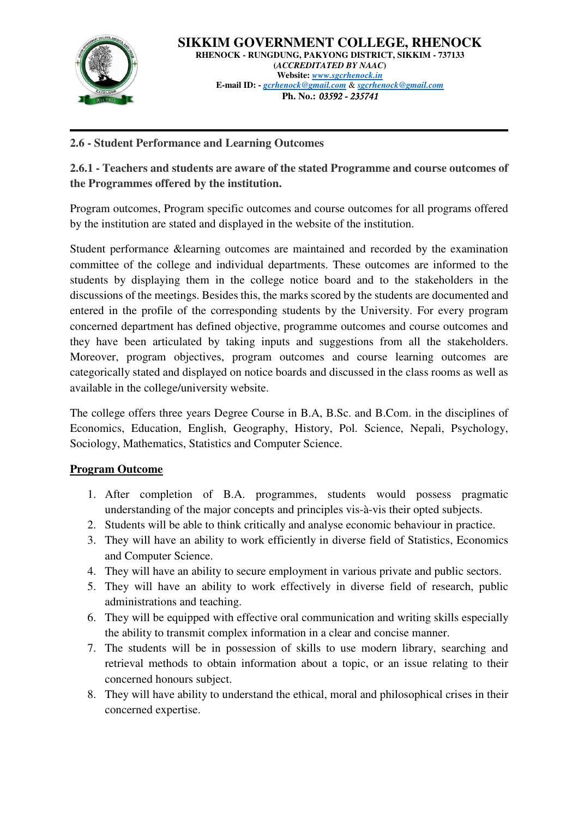

## **2.6 - Student Performance and Learning Outcomes**

**2.6.1 - Teachers and students are aware of the stated Programme and course outcomes of the Programmes offered by the institution.** 

Program outcomes, Program specific outcomes and course outcomes for all programs offered by the institution are stated and displayed in the website of the institution.

Student performance &learning outcomes are maintained and recorded by the examination committee of the college and individual departments. These outcomes are informed to the students by displaying them in the college notice board and to the stakeholders in the discussions of the meetings. Besides this, the marks scored by the students are documented and entered in the profile of the corresponding students by the University. For every program concerned department has defined objective, programme outcomes and course outcomes and they have been articulated by taking inputs and suggestions from all the stakeholders. Moreover, program objectives, program outcomes and course learning outcomes are categorically stated and displayed on notice boards and discussed in the class rooms as well as available in the college/university website.

The college offers three years Degree Course in B.A, B.Sc. and B.Com. in the disciplines of Economics, Education, English, Geography, History, Pol. Science, Nepali, Psychology, Sociology, Mathematics, Statistics and Computer Science.

## **Program Outcome**

- 1. After completion of B.A. programmes, students would possess pragmatic understanding of the major concepts and principles vis-à-vis their opted subjects.
- 2. Students will be able to think critically and analyse economic behaviour in practice.
- 3. They will have an ability to work efficiently in diverse field of Statistics, Economics and Computer Science.
- 4. They will have an ability to secure employment in various private and public sectors.
- 5. They will have an ability to work effectively in diverse field of research, public administrations and teaching.
- 6. They will be equipped with effective oral communication and writing skills especially the ability to transmit complex information in a clear and concise manner.
- 7. The students will be in possession of skills to use modern library, searching and retrieval methods to obtain information about a topic, or an issue relating to their concerned honours subject.
- 8. They will have ability to understand the ethical, moral and philosophical crises in their concerned expertise.